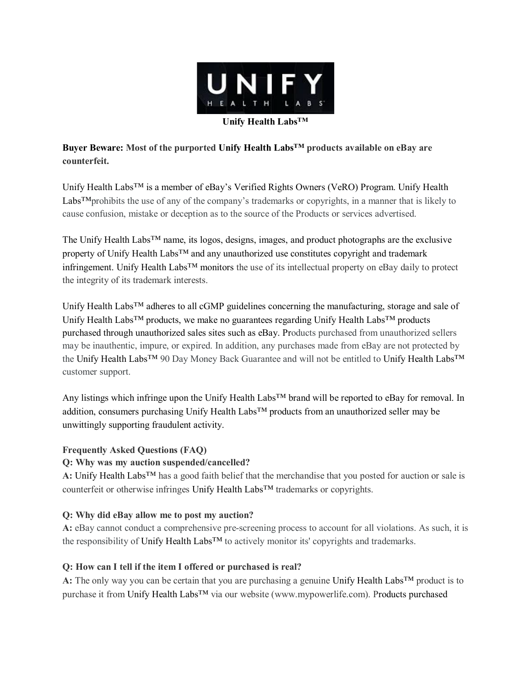

**Buyer Beware: Most of the purported Unify Health Labs™ products available on eBay are counterfeit.**

Unify Health Labs<sup>™</sup> is a member of eBay's Verified Rights Owners (VeRO) Program. Unify Health Labs™prohibits the use of any of the company's trademarks or copyrights, in a manner that is likely to cause confusion, mistake or deception as to the source of the Products or services advertised.

The Unify Health Labs™ name, its logos, designs, images, and product photographs are the exclusive property of Unify Health Labs™ and any unauthorized use constitutes copyright and trademark infringement. Unify Health Labs™ monitors the use of its intellectual property on eBay daily to protect the integrity of its trademark interests.

Unify Health Labs™ adheres to all cGMP guidelines concerning the manufacturing, storage and sale of Unify Health Labs<sup>™</sup> products, we make no guarantees regarding Unify Health Labs<sup>™</sup> products purchased through unauthorized sales sites such as eBay. Products purchased from unauthorized sellers may be inauthentic, impure, or expired. In addition, any purchases made from eBay are not protected by the Unify Health Labs™ 90 Day Money Back Guarantee and will not be entitled to Unify Health Labs™ customer support.

Any listings which infringe upon the Unify Health Labs™ brand will be reported to eBay for removal. In addition, consumers purchasing Unify Health Labs<sup>™</sup> products from an unauthorized seller may be unwittingly supporting fraudulent activity.

### **Frequently Asked Questions (FAQ)**

## **Q: Why was my auction suspended/cancelled?**

**A:** Unify Health Labs™ has a good faith belief that the merchandise that you posted for auction or sale is counterfeit or otherwise infringes Unify Health Labs™ trademarks or copyrights.

## **Q: Why did eBay allow me to post my auction?**

**A:** eBay cannot conduct a comprehensive pre-screening process to account for all violations. As such, it is the responsibility of Unify Health Labs<sup>™</sup> to actively monitor its' copyrights and trademarks.

### **Q: How can I tell if the item I offered or purchased is real?**

**A:** The only way you can be certain that you are purchasing a genuine Unify Health Labs™ product is to purchase it from Unify Health Labs<sup>™</sup> via our website (www.mypowerlife.com). Products purchased